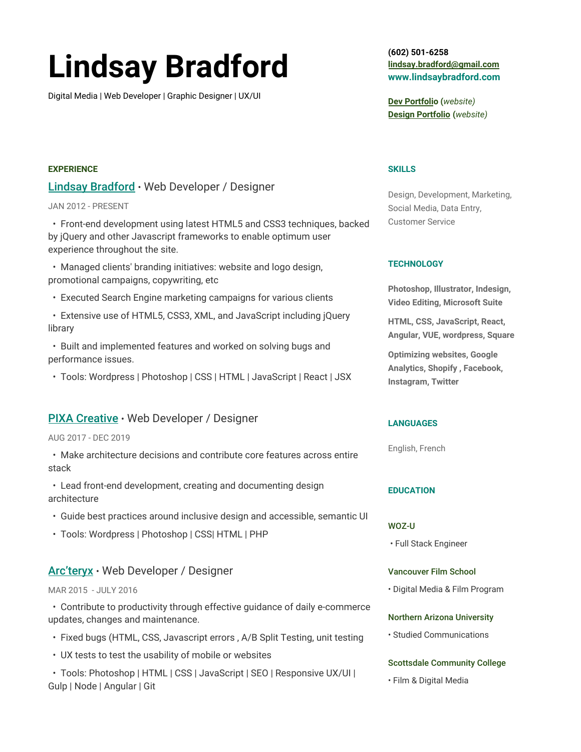# **Lindsay Bradford**

Digital Media | Web Developer | Graphic Designer | UX/UI

## **(602) 501-6258 [lindsay.bradford@gmail.com](mailto:lindsay.bradford@gmail.com) www.lindsaybradford.com**

**[Dev Portfoli](https://lindsaybradford.com/chohoh/)o (***website)* **[Design Portfolio](https://lindsaybradford.com/) (***website)*

#### **SKILLS**

Design, Development, Marketing, Social Media, Data Entry, Customer Service

## **TECHNOLOGY**

**Photoshop, Illustrator, Indesign, Video Editing, Microsoft Suite**

**HTML, CSS, JavaScript, React, Angular, VUE, wordpress, Square**

**Optimizing websites, Google Analytics, Shopify , Facebook, Instagram, Twitter**

## **LANGUAGES**

English, French

#### **EDUCATION**

#### WOZ-U

• Full Stack Engineer

#### Vancouver Film School

• Digital Media & Film Program

#### Northern Arizona University

• Studied Communications

## Scottsdale Community College

• Film & Digital Media

# **EXPERIENCE**

# [Lindsay Bradford](https://lindsaybradford.com/)• Web Developer / Designer

## JAN 2012 - PRESENT

• Front-end development using latest HTML5 and CSS3 techniques, backed by jQuery and other Javascript frameworks to enable optimum user experience throughout the site.

- Managed clients' branding initiatives: website and logo design, promotional campaigns, copywriting, etc
- Executed Search Engine marketing campaigns for various clients
- Extensive use of HTML5, CSS3, XML, and JavaScript including jQuery library
- Built and implemented features and worked on solving bugs and performance issues.
- Tools: Wordpress | Photoshop | CSS | HTML | JavaScript | React | JSX

## [PIXA Creative](https://thinkpixa.com/)• Web Developer / Designer

#### AUG 2017 - DEC 2019

- Make architecture decisions and contribute core features across entire stack
- Lead front-end development, creating and documenting design architecture
- Guide best practices around inclusive design and accessible, semantic UI
- Tools: Wordpress | Photoshop | CSS| HTML | PHP

# [Arc'teryx](https://arcteryx.com/us/en)• Web Developer / Designer

#### MAR 2015 - JULY 2016

• Contribute to productivity through effective guidance of daily e-commerce updates, changes and maintenance.

- Fixed bugs (HTML, CSS, Javascript errors , A/B Split Testing, unit testing
- UX tests to test the usability of mobile or websites

• Tools: Photoshop | HTML | CSS | JavaScript | SEO | Responsive UX/UI | Gulp | Node | Angular | Git